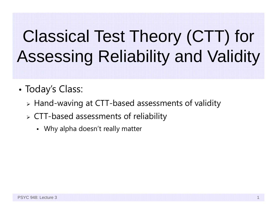# Classical Test Theory (CTT) for Assessing Reliability and Validity

- • Today's Class:
	- Hand-waving at CTT-based assessments of validity
	- CTT-based assessments of reliability
		- Why alpha doesn't really matter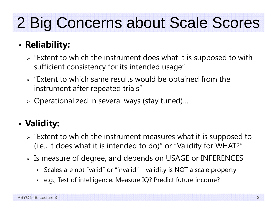## 2 Big Concerns about Scale Scores

#### •**Reliability:**

- $\triangleright$  "Extent to which the instrument does what it is supposed to with sufficient consistency for its intended usage"
- $\triangleright$  "Extent to which same results would be obtained from the instrument after repeated trials"
- Operationalized in several ways (stay tuned)…

#### •**Validity:**

- $\triangleright$  "Extent to which the instrument measures what it is supposed to (i.e., it does what it is intended to do)" or "Validity for WHAT?"
- $\triangleright$  Is measure of degree, and depends on USAGE or INFERENCES
	- Scales are not "valid" or "invalid" validity is NOT a scale property
	- e.g., Test of intelligence: Measure IQ? Predict future income?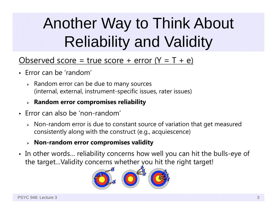# Another Way to Think About Reliability and Validity

### Observed score = true score + error  $(Y = T + e)$

- Error can be 'random'
	- $\triangleright$  Random error can be due to many sources (internal, external, instrument-specific issues, rater issues)
	- **Random error compromises reliability**
- Error can also be 'non-random'
	- $\triangleright$  Non-random error is due to constant source of variation that get measured consistently along with the construct (e.g., acquiescence)
	- **Non-random error compromises validity**
- In other words… reliability concerns how well you can hit the bulls-eye of the target…Validity concerns whether you hit the right target!

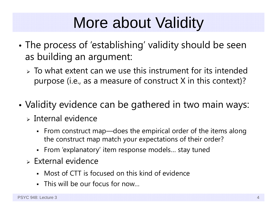### More about Validity

- • The process of 'establishing' validity should be seen as building an argument:
	- $\triangleright$  To what extent can we use this instrument for its intended purpose (i.e., as a measure of construct X in this context)?
- • Validity evidence can be gathered in two main ways:
	- $>$  Internal evidence
		- From construct map—does the empirical order of the items along the construct map match your expectations of their order?
		- From 'explanatory' item response models… stay tuned
	- $\triangleright$  External evidence
		- Most of CTT is focused on this kind of evidence
		- This will be our focus for now…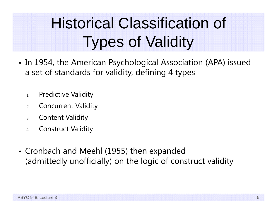# Historical Classification of Types of Validity

- In 1954, the American Psychological Association (APA) issued a set of standards for validity, defining 4 types
	- 1.Predictive Validity
	- 2.Concurrent Validity
	- 3.Content Validity
	- 4.Construct Validity
- Cronbach and Meehl (1955) then expanded (admittedly unofficially) on the logic of construct validity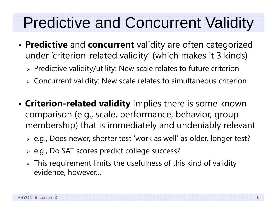### Predictive and Concurrent Validity

- **Predictive** and **concurrent** validity are often categorized under 'criterion-related validity' (which makes it 3 kinds)
	- $\triangleright$  Predictive validity/utility: New scale relates to future criterion
	- $\triangleright$  Concurrent validity: New scale relates to simultaneous criterion
- • **Criterion-related validity** implies there is some known comparison (e.g., scale, performance, behavior, group membership) that is immediately and undeniably relevant
	- e.g., Does newer, shorter test 'work as well' as older, longer test?
	- $\triangleright$  e.g., Do SAT scores predict college success?
	- $\triangleright$  This requirement limits the usefulness of this kind of validity evidence, however…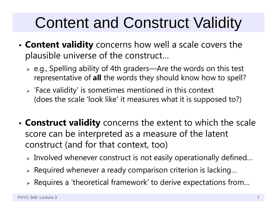## Content and Construct Validity

- • **Content validity** concerns how well a scale covers the plausible universe of the construct…
	- e.g., Spelling ability of 4th graders—Are the words on this test representative of **all** the words they should know how to spell?
	- $\triangleright$  'Face validity' is sometimes mentioned in this context (does the scale 'look like' it measures what it is supposed to?)
- • **Construct validity** concerns the extent to which the scale score can be interpreted as a measure of the latent construct (and for that context, too)
	- $\triangleright$  Involved whenever construct is not easily operationally defined…
	- $\triangleright$  Required whenever a ready comparison criterion is lacking...
	- $\triangleright$  Requires a 'theoretical framework' to derive expectations from...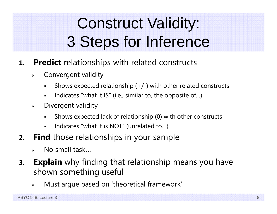# Construct Validity: 3 Steps for Inference

- **1. Predict** relationships with related constructs
	- $\blacktriangleright$  Convergent validity
		- Shows expected relationship (+/-) with other related constructs
		- F Indicates "what it IS" (i.e., similar to, the opposite of…)
	- $\blacktriangleright$  Divergent validity
		- F Shows expected lack of relationship (0) with other constructs
		- $\blacksquare$ Indicates "what it is NOT" (unrelated to…)
- **2. Find** those relationships in your sample
	- $\blacktriangleright$ No small task…
- **3.Explain** why finding that relationship means you have shown something useful
	- $\blacktriangleright$ Must argue based on 'theoretical framework'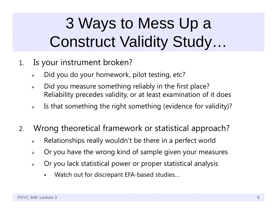### 3 Ways to Mess Up a Construct Validity Study…

- 1. Is your instrument broken?
	- ➤ Did you do your homework, pilot testing, etc?
	- $\blacktriangleright$  Did you measure something reliably in the first place? Reliability precedes validity, or at least examination of it does
	- $\blacktriangleright$ Is that something the right something (evidence for validity)?
- 2. Wrong theoretical framework or statistical approach?
	- $\blacktriangleright$ Relationships really wouldn't be there in a perfect world
	- $\blacktriangleright$ Or you have the wrong kind of sample given your measures
	- $\blacktriangleright$  Or you lack statistical power or proper statistical analysis
		- F Watch out for discrepant EFA-based studies…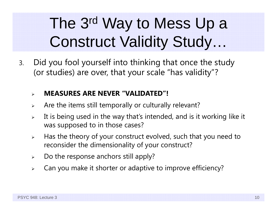### The 3rd Way to Mess Up a Construct Validity Study…

3. Did you fool yourself into thinking that once the study (or studies) are over, that your scale "has validity"?

#### $\blacktriangleright$ **MEASURES ARE NEVER "VALIDATED"!**

- $\blacktriangleright$ Are the items still temporally or culturally relevant?
- $\blacktriangleright$  It is being used in the way that's intended, and is it working like it was supposed to in those cases?
- $\blacktriangleright$  Has the theory of your construct evolved, such that you need to reconsider the dimensionality of your construct?
- $\blacktriangleright$ Do the response anchors still apply?
- $\blacktriangleright$ Can you make it shorter or adaptive to improve efficiency?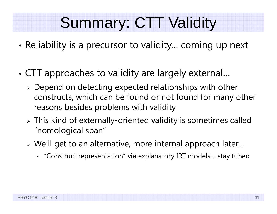### Summary: CTT Validity

- •Reliability is a precursor to validity… coming up next
- • CTT approaches to validity are largely external…
	- $\triangleright$  Depend on detecting expected relationships with other constructs, which can be found or not found for many other reasons besides problems with validity
	- $\triangleright$  This kind of externally-oriented validity is sometimes called "nomological span"
	- We'll get to an alternative, more internal approach later…
		- "Construct representation" via explanatory IRT models… stay tuned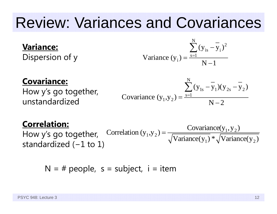### Review: Variances and Covariances

### **Variance:**

Dispersion of y

Variance 
$$
(y_i) = \frac{\sum_{s=1}^{N} (y_{is} - y_i)^2}{N - 1}
$$

#### **Covariance:**

How y's go together, unstandardized

$$
Covariance (y1, y2) = \frac{\sum_{s=1}^{N} (y_{1s} - y_{1})(y_{2s} - y_{2})}{N - 2}
$$

#### **Correlation:**

How y's go together, standardized ( <sup>−</sup>1 to 1)  $_1$ ,  $y_2$ ) =  $\frac{Covariance(y_1, y_2)}{\sqrt{x_1 + (y_2 + y_1)/2}}$  $\text{Correlation } (y_1, y_2) = \frac{\text{Covariance}(y_1, y_2)}{\sqrt{\text{Variance}(y_1)} * \sqrt{\text{Variance}(y_2)}}$ Ξ

$$
N = #
$$
 people,  $s =$  subject,  $i =$ item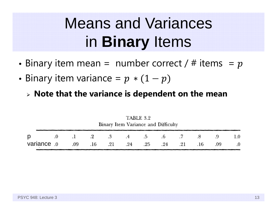### Means and Variances in **Binary** Items

- •• Binary item mean = number correct /  $\#$  items =
- • $\bullet$  Binary item variance =
	- **Note that the variance is dependent on the mean**

|                                                            | $\mathbf{1}$<br>Binary Item Variance and Difficulty |  |  |  |  |  |  |  |  |  |            |
|------------------------------------------------------------|-----------------------------------------------------|--|--|--|--|--|--|--|--|--|------------|
| <b>D</b> $.0$ $.1$ $.2$ $.3$ $.4$ $.5$ $.6$ $.7$ $.8$ $.9$ |                                                     |  |  |  |  |  |  |  |  |  | 1.0        |
| 09. 16 09. 21 16 09. 24 25 24 25 16 09                     |                                                     |  |  |  |  |  |  |  |  |  | $\cdot$ .0 |

TARIE 29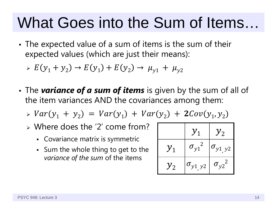### What Goes into the Sum of Items…

• The expected value of a sum of items is the sum of their expected values (which are just their means):

$$
\Rightarrow E(y_1 + y_2) \to E(y_1) + E(y_2) \to \mu_{y1} + \mu_{y2}
$$

• The *variance of a sum of items* is given by the sum of all of the item variances AND the covariances among them:

 $\triangleright \; Var(y_1 + y_2) = Var(y_1) + Var(y_2) + 2Cov(y_1, y_2)$ 

- Where does the '2' come from?
	- Covariance matrix is symmetric
	- $\,$  Sum the whole thing to get to the  $\,$ *variance of the sum* of the items

|                   | ${\cal Y}_1$      | $y_{2}$           |
|-------------------|-------------------|-------------------|
| ${\mathcal{Y}}_1$ | $\sigma_{y1}^2$   | $\sigma_{y1, y2}$ |
| $y_{2}$           | $\sigma_{y1, y2}$ | $\sigma_{y2}^2$   |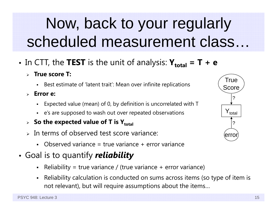### Now, back to your regularly scheduled measurement class…

- • $\bullet$  In CTT, the **TEST** is the unit of analysis:  $\mathbf{Y_{total}} = \mathbf{T} + \mathbf{e}$ 
	- **True score T:**
		- Best estimate of 'latent trait': Mean over infinite replications
	- **Error e:**
		- Expected value (mean) of 0, by definition is uncorrelated with T
		- <sup>e</sup>'s are supposed to wash out over repeated observations
	- **> So the expected value of T is Y** $_{\text{total}}$
	- $>$  In terms of observed test score variance:
		- Observed variance = true variance + error variance
- • Goal is to quantify *reliability*
	- Reliability = true variance / (true variance + error variance)
	- Reliability calculation is conducted on sums across items (so type of item is not relevant), but will require assumptions about the items…

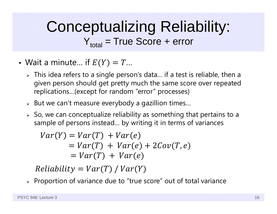### Conceptualizing Reliability:  $Y_{total}$  = True Score + error

- •• Wait a minute… if  $E(Y) = T...$ 
	- $\triangleright\;$  This idea refers to a single person's data... if a test is reliable, then a given person should get pretty much the same score over repeated replications…(except for random "error" processes)
	- $\triangleright$  But we can't measure everybody a gazillion times...
	- $\triangleright$  So, we can conceptualize reliability as something that pertains to a sample of persons instead… by writing it in terms of variances

 $Var(Y) = Var(T) + Var(e)$  $= Var(T) + Var(e) + 2Cov(T, e)$  $= Var(T) + Var(e)$ 

 $Reliability = Var(T) / Var(Y)$ 

 $\triangleright$  Proportion of variance due to "true score" out of total variance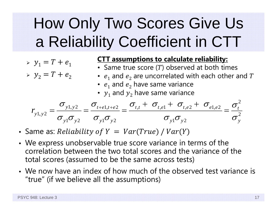# How Only Two Scores Give Us a Reliability Coefficient in CTT

- $\rightarrow$   $y_1 = T + e_1$
- $\rightarrow$   $y_2 = T + e_2$

#### **CTT assumptions to calculate reliability:**

- Same true score (T) observed at both times
- $e_1$  and  $e_2$  are uncorrelated with each other and  $T$
- $\,e_1$  and  $e_2$  have same variance
- $y_1$  and  $y_2$  have same variance

$$
r_{y1,y2} = \frac{\sigma_{y1,y2}}{\sigma_{y1}\sigma_{y2}} = \frac{\sigma_{t+e1,t+e2}}{\sigma_{y1}\sigma_{y2}} = \frac{\sigma_{t,t} + \sigma_{t,e1} + \sigma_{t,e2} + \sigma_{e1,e2}}{\sigma_{y1}\sigma_{y2}} = \frac{\sigma_t^2}{\sigma_y^2}
$$

- Same as:  $Reliability\ of\ Y\ =\ Var(True\ )\ /\ Var(Y)$
- We express unobservable true score variance in terms of the correlation between the two total scores and the variance of the total scores (assumed to be the same across tests)
- We now have an index of how much of the observed test variance is "true" (if we believe all the assumptions)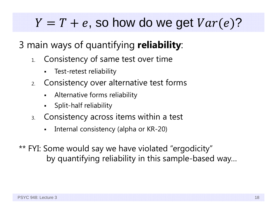### , so how do we get  $Var(e)?$

### 3 main ways of quantifying **reliability**:

- 1. Consistency of same test over time
	- Test-retest reliability
- 2. Consistency over alternative test forms
	- Alternative forms reliability
	- Split-half reliability
- 3. Consistency across items within a test
	- Internal consistency (alpha or KR-20)
- \*\* FYI: Some would say we have violated "ergodicity" by quantifying reliability in this sample-based way…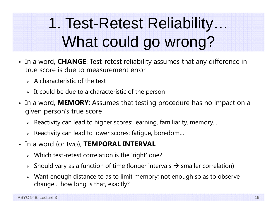# 1. Test-Retest Reliability… What could go wrong?

- In a word, **CHANGE**: Test-retest reliability assumes that any difference in true score is due to measurement error
	- $>$  A characteristic of the test
	- $\triangleright$  It could be due to a characteristic of the person
- In a word, **MEMORY**: Assumes that testing procedure has no impact on a given person's true score
	- $\triangleright$  Reactivity can lead to higher scores: learning, familiarity, memory...
	- $\triangleright$  Reactivity can lead to lower scores: fatigue, boredom...
- In a word (or two), **TEMPORAL INTERVAL**
	- Which test-retest correlation is the 'right' one?
	- $\triangleright$  Should vary as a function of time (longer intervals  $\rightarrow$  smaller correlation)
	- Want enough distance to as to limit memory; not enough so as to observe change… how long is that, exactly?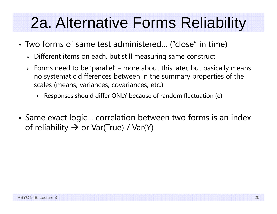### 2a. Alternative Forms Reliability

- Two forms of same test administered… ("close" in time)
	- $\triangleright$  Different items on each, but still measuring same construct
	- $\triangleright$  Forms need to be 'parallel' more about this later, but basically means no systematic differences between in the summary properties of the scales (means, variances, covariances, etc.)
		- Responses should differ ONLY because of random fluctuation (e)
- • Same exact logic… correlation between two forms is an index of reliability  $\boldsymbol{\rightarrow}$  or Var(True) / Var(Y)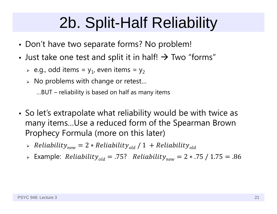### 2b. Split-Half Reliability

- •• Don't have two separate forms? No problem!
- •• Just take one test and split it in half!  $\rightarrow$  Two "forms"
	- $\triangleright$  e.g., odd items = y $_1$ , even items = y $_2$
	- $\triangleright$  No problems with change or retest...

…BUT – reliability is based on half as many items

- So let's extrapolate what reliability would be with twice as many items…Use a reduced form of the Spearman Brown Prophecy Formula (more on this later)
	- $\rightarrow$  Reliability $_{new} = 2 * Reliability_{old} / 1 + Reliability_{old}$
	- Example: ܴ݈ܾ݈݁݅ܽ݅݅ݕݐ݈݀ ൌ .75? ܴ݈ܾ݈݁݅ܽ݅݅ݕݐ݊݁ݓ ൌ <sup>2</sup> <sup>∗</sup> .75 / 1.75 ൌ .86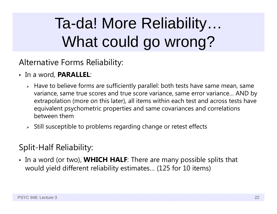# Ta-da! More Reliability… What could go wrong?

Alternative Forms Reliability:

- In a word, **PARALLEL**:
	- Have to believe forms are sufficiently parallel: both tests have same mean, same variance, same true scores and true score variance, same error variance… AND by extrapolation (more on this later), all items within each test and across tests have equivalent psychometric properties and same covariances and correlations between them
	- $\triangleright$  Still susceptible to problems regarding change or retest effects

### Split-Half Reliability:

• In a word (or two), **WHICH HALF**: There are many possible splits that would yield different reliability estimates… (125 for 10 items)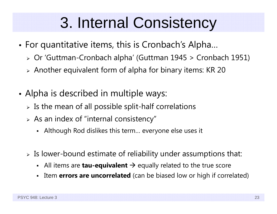### 3. Internal Consistency

- • For quantitative items, this is Cronbach's Alpha…
	- Or 'Guttman-Cronbach alpha' (Guttman 1945 > Cronbach 1951)
	- Another equivalent form of alpha for binary items: KR 20
- • Alpha is described in multiple ways:
	- $\triangleright$  Is the mean of all possible split-half correlations
	- $\triangleright$  As an index of "internal consistency"
		- Although Rod dislikes this term… everyone else uses it
	- $\triangleright$  Is lower-bound estimate of reliability under assumptions that:
		- Г ■ All items are **tau-equivalent** → equally related to the true score
		- Item **errors are uncorrelated** (can be biased low or high if correlated)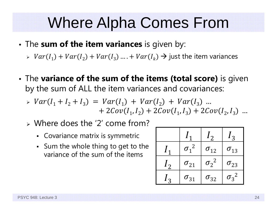### Where Alpha Comes From

- The **sum of the item variances** is given by:
	- $\triangleright \; Var(I_1) + Var(I_2) + Var(I_3) \dots + Var(I_k) \rightarrow \text{just the item variances}$
- • The **variance of the sum of the items (total score)** is given by the sum of ALL the item variances and covariances:

$$
\triangleright \ Var(I_1 + I_2 + I_3) = Var(I_1) + Var(I_2) + Var(I_3) \dots + 2Cov(I_1, I_2) + 2Cov(I_1, I_3) + 2Cov(I_2, I_3) \dots
$$

- Where does the '2' come from?
	- Covariance matrix is symmetric
	- $\,$  Sum the whole thing to get to the  $\,$ variance of the sum of the items

|                |                              | $\mathfrak{c}_2$ | $\mathbf{z}$  |
|----------------|------------------------------|------------------|---------------|
|                | $\overline{2}$<br>$\sigma_1$ | $\sigma_{12}$    | $\sigma_{13}$ |
| 1 <sub>2</sub> | $\sigma_{21}$                | $\sigma_2^2$     | $\sigma_{23}$ |
| $\mathbf{c}$   | $\sigma_{31}$                | $\sigma_{32}$    | $\sigma_3^2$  |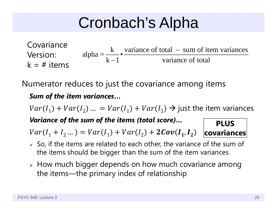### Cronbach's Alpha

k variance of total  $-$  sum of item variances  $alpha = \frac{k-1}{k-1}$  variance of total Ξ Ξ Covariance Version:  $k = #$  items

Numerator reduces to just the covariance among items

#### *Sum of the item variances* **…**

 $Var(I_1) + Var(I_2) ... = Var(I_1) + Var(I_2) \rightarrow$  just the item variances *Variance of the sum of the items (total score)* **… PLUS** 

 $Var(I_1 + I_2 ...)=Var(I_1) + Var(I_2) + 2Cov(I_1, I_2)$ 

- $\triangleright$  So, if the items are related to each other, the variance of the sum of the items should be bigger than the sum of the item variances
- $\triangleright$  How much bigger depends on how much covariance among the items—the primary index of relationship

**covariances**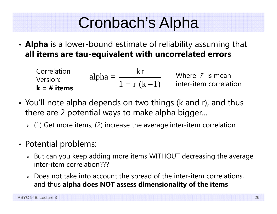### Cronbach's Alpha

• **Alpha** is a lower-bound estimate of reliability assuming that **all items are tau-equivalent with uncorrelated errors**

Correlation

\nVersion:

\nAlpha = 
$$
\frac{kr}{1 + r(k-1)}
$$

\nWhere  $\bar{r}$  is mean

\ninter-item correlation

\n**k = # items**

- You'll note alpha depends on two things (k and r), and thus there are 2 potential ways to make alpha bigger…
	- $\triangleright$  (1) Get more items, (2) increase the average inter-item correlation
- Potential problems:
	- $\triangleright$  But can you keep adding more items WITHOUT decreasing the average inter-item correlation???
	- $\triangleright$  Does not take into account the spread of the inter-item correlations, and thus **alpha does NOT assess dimensionality of the items**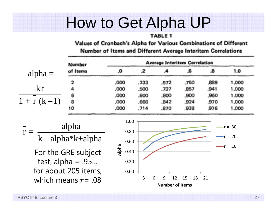### How to Get Alpha UP

#### TABLE 1

Values of Cronbach's Alpha for Various Combinations of Different

| Number                                                                                                                                | <b>Average Interitem Correlation</b>                  |              |                                   |              |              |                                        |  |  |  |  |
|---------------------------------------------------------------------------------------------------------------------------------------|-------------------------------------------------------|--------------|-----------------------------------|--------------|--------------|----------------------------------------|--|--|--|--|
| of Items<br>$alpha =$                                                                                                                 | O.                                                    | 2            |                                   | .6           | .8           | 1.0                                    |  |  |  |  |
| 2                                                                                                                                     | .000                                                  | .333         | .572                              | .750         | .889         | 1,000                                  |  |  |  |  |
| kr                                                                                                                                    | .000                                                  | .500         | .727                              | .857         | .941         | 1.000                                  |  |  |  |  |
| $1 + r (k-1)$<br>8                                                                                                                    | .000<br>.000                                          | .600<br>.666 | .800<br>.842                      | .900<br>.924 | ,960<br>,970 | 1.000<br>1,000                         |  |  |  |  |
| 10                                                                                                                                    | .000                                                  | .714         | .870                              | .938         | .976         | 1,000                                  |  |  |  |  |
| alpha<br>$k$ – alpha* $k$ +alpha<br>For the GRE subject<br>test, alpha = $.95$<br>for about 205 items,<br>which means $\bar{r}$ = .08 | 1.00<br>0.80<br>0.60<br>Alpha<br>0.40<br>0.20<br>0.00 | 3<br>6       | 9<br>12<br><b>Number of Items</b> | 18<br>15     | 21           | $-r = .30$<br>$-r = .20$<br>$-r = .10$ |  |  |  |  |

#### Number of Items and Different Average Interitem Correlations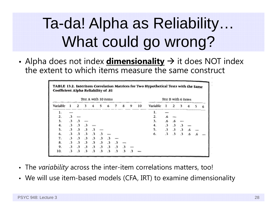## Ta-da! Alpha as Reliability… What could go wrong?

• Alpha does not index **<u>dimensionality</u>**  $\rightarrow$  it does NOT index the extent to which items measure the same construct

| TABLE 13.2. Interitem Correlation Matrices for Two Hypothetical Tests with the Same<br>Coefficient Alpha Reliability of .81 |                      |                      |                      |           |                      |                      |                      |                      |   |    |          |                      |               |            |                |            |   |
|-----------------------------------------------------------------------------------------------------------------------------|----------------------|----------------------|----------------------|-----------|----------------------|----------------------|----------------------|----------------------|---|----|----------|----------------------|---------------|------------|----------------|------------|---|
|                                                                                                                             |                      |                      |                      |           |                      | Test A with 10 items |                      |                      |   |    |          | Test B with 6 items  |               |            |                |            |   |
| Variable                                                                                                                    |                      | ∍                    |                      |           |                      |                      |                      | g                    | 9 | 10 | Variable |                      | 2             |            |                |            | 6 |
| ı.                                                                                                                          |                      |                      |                      |           |                      |                      |                      |                      |   |    | 1.       |                      |               |            |                |            |   |
| 2.                                                                                                                          | .3                   |                      |                      |           |                      |                      |                      |                      |   |    | 2.       | $6^{\circ}$          |               |            |                |            |   |
| 3.                                                                                                                          | $\cdot$ <sub>3</sub> | .3                   |                      |           |                      |                      |                      |                      |   |    | 3.       | 6.6                  | $\mathbf{a}$  |            |                |            |   |
| 4.                                                                                                                          | $\cdot$ 3            | $\cdot$ 3            | $\cdot$ <sub>3</sub> |           |                      |                      |                      |                      |   |    | 4.       | $\cdot$ <sub>3</sub> | $\cdot$ 3     |            |                |            |   |
| 5.                                                                                                                          | $\cdot$ 3            | $\cdot$ 3            | $\cdot$ <sub>3</sub> | .3        |                      |                      |                      |                      |   |    | 5.       | $\cdot$ <sub>3</sub> | $\mathbf{.3}$ | .3         | $\epsilon$     |            |   |
| 6.                                                                                                                          | $\cdot$ <sub>3</sub> | .3                   | .3                   | $\cdot$ 3 | $\cdot$ <sub>3</sub> |                      |                      |                      |   |    | 6.       | $\cdot$ 3            | .3            | $\cdot$ .3 | 6 <sup>6</sup> | $\epsilon$ |   |
| 7.                                                                                                                          | $\cdot$ <sub>3</sub> | .3                   | $\cdot$ <sub>3</sub> | .3        | $\cdot$ <sub>3</sub> | .3                   |                      |                      |   |    |          |                      |               |            |                |            |   |
| 8.                                                                                                                          | $\cdot$ <sub>3</sub> | $\cdot$ 3            | $\cdot$ <sub>3</sub> | .3        | $\cdot$ <sub>3</sub> | .3                   | $\cdot$ 3            |                      |   |    |          |                      |               |            |                |            |   |
| 9.                                                                                                                          | .3                   | .3                   | $\cdot$ 3            | .3        | $3^{\circ}$          | $\cdot$ 3            | $\cdot$ <sub>3</sub> | $\cdot$ <sub>3</sub> |   |    |          |                      |               |            |                |            |   |
| 10.                                                                                                                         | $\cdot$ <sub>3</sub> | $\cdot$ <sub>3</sub> | $\cdot$ <sub>3</sub> | $\cdot$ 3 | $\cdot$ <sub>3</sub> | $\cdot$ <sup>3</sup> | $\cdot$ <sub>3</sub> | $\cdot$ 3            |   |    |          |                      |               |            |                |            |   |

- The *variability* across the inter-item correlations matters, too!
- We will use item-based models (CFA, IRT) to examine dimensionality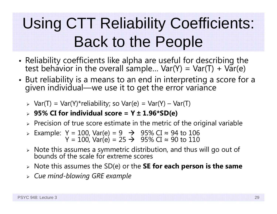### Using CTT Reliability Coefficients: Back to the People

- Reliability coefficients like alpha are useful for describing the test behavior in the overall sample… Var(Y) = Var(T) + Var(e)
- • But reliability is a means to an end in interpreting a score for a given individual—we use it to get the error variance
	- Var(T) = Var(Y)\*reliability; so Var(e) = Var(Y) Var(T)
	- **95% CI for individual score = Y ± 1.96\*SD(e)**
	- $\triangleright$  Precision of true score estimate in the metric of the original variable
	- > Example: Y = 100, Var(e) = 9  $\rightarrow$  95% CI ≈ 94 to 106<br>Y = 100, Var(e) = 25  $\rightarrow$  95% CI ≈ 90 to 110
	- $\triangleright$  Note this assumes a symmetric distribution, and thus will go out of bounds of the scale for extreme scores bounds of the scale for extreme scores
	- Note this assumes the SD(e) or the **SE for each person is the same**
	- *Cue mind-blowing GRE example*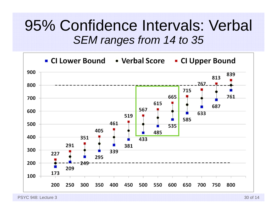### 95% Confidence Intervals: Verbal *SEM ranges from 14 to 35*



PSYC 948: Lecture 3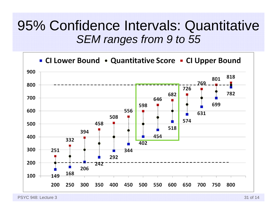### 95% Confidence Intervals: Quantitative *SEM ranges from 9 to 55*



PSYC 948: Lecture 3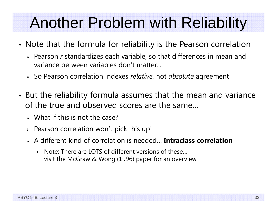### Another Problem with Reliability

- • Note that the formula for reliability is the Pearson correlation
	- > Pearson *r* standardizes each variable, so that differences in mean and variance between variables don't matter…
	- So Pearson correlation indexes *relative*, not *absolute* agreemen<sup>t</sup>
- • But the reliability formula assumes that the mean and variance of the true and observed scores are the same…
	- $\triangleright$  What if this is not the case?
	- $\triangleright$  Pearson correlation won't pick this up!
	- A different kind of correlation is needed… **Intraclass correlation**
		- Note: There are LOTS of different versions of these visit the McGraw & Wong (1996) paper for an overview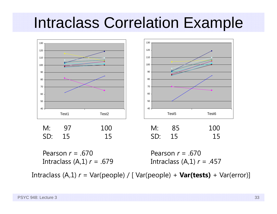### Intraclass Correlation Example



Intraclass (A,1) *r* = Var(people) / [ Var(people) + **Var(tests)** + Var(error)]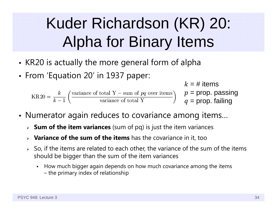## Kuder Richardson (KR) 20: Alpha for Binary Items

- • $\bullet\,$  KR20 is actually the more general form of alpha
- From 'Equation 20' in 1937 paper:

 $k$  = # items  $p = \mathsf{prop}$ . passing  $q=$  prop. failing

- Numerator again reduces to covariance among items…
	- **Sum of the item variances** (sum of pq) is just the item variances
	- **Variance of the sum of the items** has the covariance in it, too
	- $>$  So, if the items are related to each other, the variance of the sum of the items should be bigger than the sum of the item variances
		- How much bigger again depends on how much covariance among the items – the primary index of relationship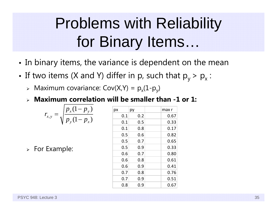### Problems with Reliability for Binary Items…

- In binary items, the variance is dependent on the mean
- • $\bullet\,$  If two items (X and Y) differ in p, such that  $\mathsf{p}_\mathsf{y}$  >  $\mathsf{p}_\mathsf{x}$  :
	- $\triangleright$  Maximum covariance: Cov(X,Y) =  $p_x(1-p_y)$
	- **Maximum correlation will be smaller than -1 or 1:**

$$
r_{x,y} = \sqrt{\frac{p_x(1-p_y)}{p_y(1-p_x)}}
$$

 $\triangleright$  For Example:

| pх  | рy  | max r |
|-----|-----|-------|
| 0.1 | 0.2 | 0.67  |
| 0.1 | 0.5 | 0.33  |
| 0.1 | 0.8 | 0.17  |
| 0.5 | 0.6 | 0.82  |
| 0.5 | 0.7 | 0.65  |
| 0.5 | 0.9 | 0.33  |
| 0.6 | 0.7 | 0.80  |
| 0.6 | 0.8 | 0.61  |
| 0.6 | 0.9 | 0.41  |
| 0.7 | 0.8 | 0.76  |
| 0.7 | 0.9 | 0.51  |
| 0.8 | 0.9 | 0.67  |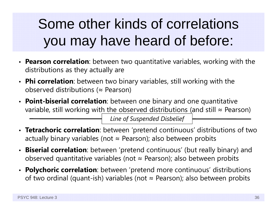### Some other kinds of correlations you may have heard of before:

- **Pearson correlation**: between two quantitative variables, working with the distributions as they actually are
- **Phi correlation**: between two binary variables, still working with the observed distributions ( <sup>≈</sup> Pearson)
- **Point-biserial correlation**: between one binary and one quantitative variable, still working wit<u>h the observed distributions (</u>and still  $\approx$  Pearson)

*Line of Suspended Disbelief*

- **Tetrachoric correlation**: between 'pretend continuous' distributions of two actually binary variables (not <sup>≈</sup> Pearson); also between probits
- •**Biserial correlation**: between 'pretend continuous' (but really binary) and observed quantitative variables (not <sup>≈</sup> Pearson); also between probits
- **Polychoric correlation**: between 'pretend more continuous' distributions of two ordinal (quant-ish) variables (not <sup>≈</sup> Pearson); also between probits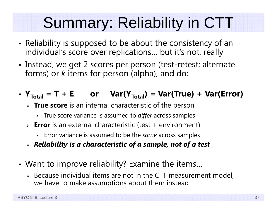## Summary: Reliability in CTT

- • $\bullet\,$  Reliability is supposed to be about the consistency of an  $\,$ individual's score over replications… but it's not, really
- Instead, we get 2 scores per person (test-retest; alternate forms) or *k* items for person (alpha), and do:

### •  $Y_{\text{Total}} = T + E$  or  $\text{Var}(Y_{\text{Total}}) = \text{Var}(\text{True}) + \text{Var}(\text{Error})$

- **True score** is an internal characteristic of the person
	- True score variance is assumed to *differ* across samples
- **Error** is an external characteristic (test + environment)
	- Error variance is assumed to be the *same* across samples
- *Reliability is a characteristic of a sample, not of a test*
- Want to improve reliability? Examine the items…
	- $\triangleright$  Because individual items are not in the CTT measurement model, we have to make assumptions about them instead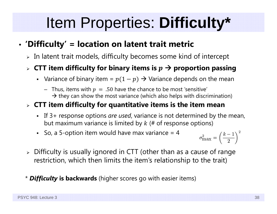### Item Properties: **Difficulty\***

#### •**'Difficulty' = location on latent trait metric**

 $\triangleright$  In latent trait models, difficulty becomes some kind of intercept

### $\triangleright$  CTT item difficulty for binary items is  $p \rightarrow$  proportion passing

- Variance of binary item =  $p(1-p)$   $\rightarrow$  Variance depends on the mean
	- $-$  Thus, items with  $p\ =\ .50$  have the chance to be most 'sensitive'  $\,$  $\rightarrow$  they can show the most variance (which also helps with discrimination)

### **CTT item difficulty for quantitative items is the item mean**

- If 3+ response options *are used*, variance is not determined by the mean, but maximum variance is limited by  $k$  (# of response options)
- So, a 5-option item would have max variance  $=$  4

 $\sigma_{\max}^2 = \left(\frac{k-1}{2}\right)^2$ 

- $\triangleright$  Difficulty is usually ignored in CTT (other than as a cause of range  $\blacksquare$ restriction, which then limits the item's relationship to the trait)
- \* *Difficulty* **is backwards** (higher scores go with easier items)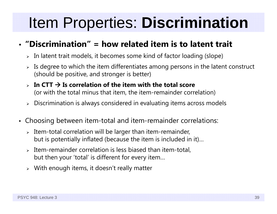### Item Properties: **Discrimination**

### • **"Discrimination" = how related item is to latent trait**

- $\triangleright$  In latent trait models, it becomes some kind of factor loading (slope)
- $\triangleright$  Is degree to which the item differentiates among persons in the latent construct (should be positive, and stronger is better)
- ➤  $\triangleright$  In CTT  $\rightarrow$  Is correlation of the item with the total score (or with the total minus that item, the item-remainder correlation)
- $\triangleright$   $\,$  Discrimination is always considered in evaluating items across models
- $\bullet$  Choosing between item-total and item-remainder correlations:
	- $\triangleright$  Item-total correlation will be larger than item-remainder, but is potentially inflated (because the item is included in it)…
	- $\triangleright$  Item-remainder correlation is less biased than item-total, but then your 'total' is different for every item…
	- $\triangleright$  With enough items, it doesn't really matter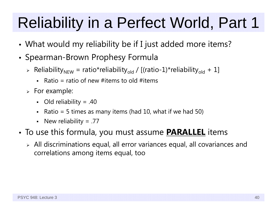# Reliability in a Perfect World, Part 1

- •What would my reliability be if I just added more items?
- Spearman-Brown Prophesy Formula
	- > Reliability<sub>NEW</sub> = ratio\*reliability<sub>old</sub> / [(ratio-1)\*reliability<sub>old</sub> + 1]
		- Ratio = ratio of new #items to old #items
	- $\triangleright$  For example:
		- Old reliability = .40
		- Ratio = 5 times as many items (had 10, what if we had 50)
		- New reliability =  $.77$
- • To use this formula, you must assume **PARALLEL** items
	- $\triangleright$  All discriminations equal, all error variances equal, all covariances and correlations among items equal, too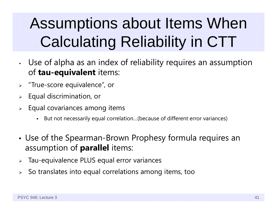## Assumptions about Items When Calculating Reliability in CTT

- • Use of alpha as an index of reliability requires an assumption of **tau-equivalent** items:
- $\blacktriangleright$ "True-score equivalence", or
- ➤ Equal discrimination, or
- ➤ Equal covariances among items
	- But not necessarily equal correlation…(because of different error variances)
- • Use of the Spearman-Brown Prophesy formula requires an assumption of **parallel** items:
- $\blacktriangleright$ Tau-equivalence PLUS equal error variances
- $\blacktriangleright$ So translates into equal correlations among items, too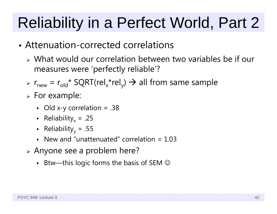# Reliability in a Perfect World, Part 2

- Attenuation-corrected correlations
	- What would our correlation between two variables be if our measures were 'perfectly reliable'?
	- >  $r_{\text{new}} = r_{\text{old}}$ \* SQRT(rel<sub>x</sub>\*rel<sub>y</sub>)  $\rightarrow$  all from same sample
	- $\triangleright$  For example:
		- Old x-y correlation = .38
		- Reliability $_{\mathrm{x}}$  = .25
		- Reliability $_{\rm y}$  = .55
		- New and "unattenuated" correlation  $= 1.03$
	- Anyone see a problem here?
		- $\,$  Btw—this logic forms the basis of SEM  $\odot$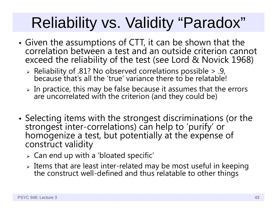## Reliability vs. Validity "Paradox"

- • Given the assumptions of CTT, it can be shown that the correlation between a test and an outside criterion cannot exceed the reliability of the test (see Lord & Novick 1968)
	- Reliability of .81? No observed correlations possible > .9, because that's all the 'true' variance there to be relatable!
	- In practice, this may be false because it assumes that the errors are uncorrelated with the criterion (and they could be)
- •• Selecting items with the strongest discriminations (or the strongest inter-correlations) can help to 'purify' or homogenize a test, but potentially at the expense of construct validity
	- $\triangleright$  Can end up with a 'bloated specific'
	- $\triangleright$  Items that are least inter-related may be most useful in keeping Items interation inter-related may be most relate the construct well-defined and thus relatable to other things